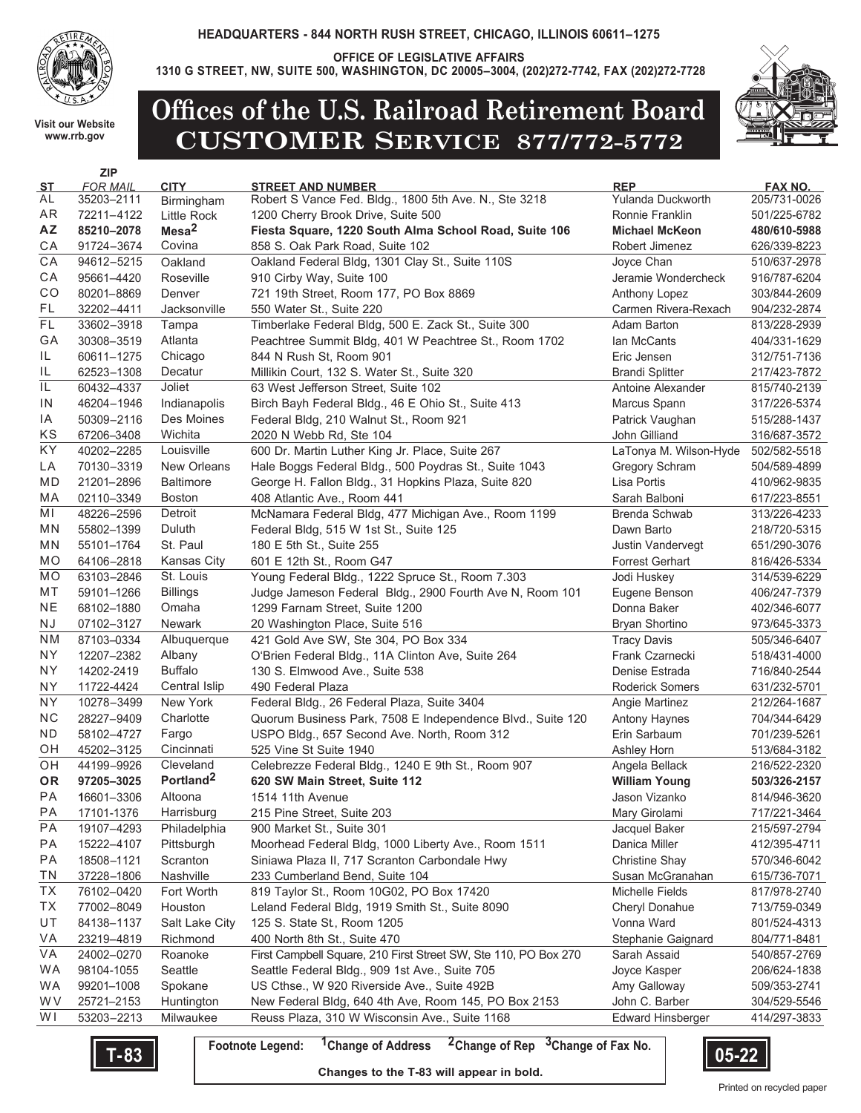

**OFFICE OF LEGISLATIVE AFFAIRS**

**1310 G STREET, NW, SUITE 500, WASHINGTON, DC 20005–3004, (202)272-7742, FAX (202)272-7728**

**Visit our Website www.rrb.gov**

**ZIP** 



## **Offices of the U.S. Railroad Retirement Board CUSTOMER SERVICE 877/772-5772**

| ST         | <b>FOR MAIL</b>          | <b>CITY</b>                | <b>STREET AND NUMBER</b>                                        | <b>REP</b>               | <b>FAX NO.</b>               |
|------------|--------------------------|----------------------------|-----------------------------------------------------------------|--------------------------|------------------------------|
| AL         | 35203-2111               | Birmingham                 | Robert S Vance Fed. Bldg., 1800 5th Ave. N., Ste 3218           | Yulanda Duckworth        | 205/731-0026                 |
| AR         | 72211-4122               | <b>Little Rock</b>         | 1200 Cherry Brook Drive, Suite 500                              | Ronnie Franklin          | 501/225-6782                 |
| AZ         | 85210-2078               | Mesa <sup>2</sup>          | Fiesta Square, 1220 South Alma School Road, Suite 106           | <b>Michael McKeon</b>    | 480/610-5988                 |
| СA         | 91724-3674               | Covina                     | 858 S. Oak Park Road, Suite 102                                 | Robert Jimenez           | 626/339-8223                 |
| CA         | 94612-5215               | Oakland                    | Oakland Federal Bldg, 1301 Clay St., Suite 110S                 | Joyce Chan               | 510/637-2978                 |
| СA         | 95661-4420               | Roseville                  | 910 Cirby Way, Suite 100                                        | Jeramie Wondercheck      | 916/787-6204                 |
| CO         | 80201-8869               | Denver                     | 721 19th Street, Room 177, PO Box 8869                          | Anthony Lopez            | 303/844-2609                 |
| FL         | 32202-4411               | Jacksonville               | 550 Water St., Suite 220                                        | Carmen Rivera-Rexach     | 904/232-2874                 |
| FL         | 33602-3918               | Tampa                      | Timberlake Federal Bldg, 500 E. Zack St., Suite 300             | Adam Barton              | 813/228-2939                 |
| GA         | 30308-3519               | Atlanta                    | Peachtree Summit Bldg, 401 W Peachtree St., Room 1702           | lan McCants              | 404/331-1629                 |
| IL         | 60611-1275               | Chicago                    | 844 N Rush St, Room 901                                         | Eric Jensen              | 312/751-7136                 |
| IL         | 62523-1308               | Decatur                    | Millikin Court, 132 S. Water St., Suite 320                     | <b>Brandi Splitter</b>   | 217/423-7872                 |
| IL         | 60432-4337               | Joliet                     | 63 West Jefferson Street, Suite 102                             | Antoine Alexander        | 815/740-2139                 |
| IN         | 46204-1946               | Indianapolis               | Birch Bayh Federal Bldg., 46 E Ohio St., Suite 413              | Marcus Spann             | 317/226-5374                 |
| IA         | 50309-2116               | Des Moines                 | Federal Bldg, 210 Walnut St., Room 921                          | Patrick Vaughan          | 515/288-1437                 |
| ΚS         | 67206-3408               | Wichita                    | 2020 N Webb Rd, Ste 104                                         | John Gilliand            | 316/687-3572                 |
| KY         | 40202-2285               | Louisville                 | 600 Dr. Martin Luther King Jr. Place, Suite 267                 | LaTonya M. Wilson-Hyde   | 502/582-5518                 |
| LA         | 70130-3319               | New Orleans                | Hale Boggs Federal Bldg., 500 Poydras St., Suite 1043           | <b>Gregory Schram</b>    | 504/589-4899                 |
| MD         | 21201-2896               | <b>Baltimore</b>           | George H. Fallon Bldg., 31 Hopkins Plaza, Suite 820             | Lisa Portis              | 410/962-9835                 |
| МA         | 02110-3349               | <b>Boston</b>              | 408 Atlantic Ave., Room 441                                     | Sarah Balboni            | 617/223-8551                 |
| ΜI         | 48226-2596               | Detroit                    | McNamara Federal Bldg, 477 Michigan Ave., Room 1199             | Brenda Schwab            | 313/226-4233                 |
| ΜN         | 55802-1399               | Duluth                     | Federal Bldg, 515 W 1st St., Suite 125                          | Dawn Barto               | 218/720-5315                 |
| ΜN         | 55101-1764               | St. Paul                   | 180 E 5th St., Suite 255                                        | <b>Justin Vandervegt</b> | 651/290-3076                 |
| МO         | 64106-2818               | Kansas City                | 601 E 12th St., Room G47                                        | <b>Forrest Gerhart</b>   | 816/426-5334                 |
| MO         | 63103-2846               | St. Louis                  | Young Federal Bldg., 1222 Spruce St., Room 7.303                | Jodi Huskey              | 314/539-6229                 |
| МT         | 59101-1266               | <b>Billings</b>            | Judge Jameson Federal Bldg., 2900 Fourth Ave N, Room 101        | Eugene Benson            | 406/247-7379                 |
| <b>NE</b>  | 68102-1880               | Omaha                      | 1299 Farnam Street, Suite 1200                                  | Donna Baker              | 402/346-6077                 |
| ΝJ         | 07102-3127               | <b>Newark</b>              | 20 Washington Place, Suite 516                                  | <b>Bryan Shortino</b>    | 973/645-3373                 |
| ΝM         | 87103-0334               | Albuquerque                | 421 Gold Ave SW, Ste 304, PO Box 334                            | <b>Tracy Davis</b>       | 505/346-6407                 |
| ΝY         | 12207-2382               | Albany                     | O'Brien Federal Bldg., 11A Clinton Ave, Suite 264               | Frank Czarnecki          | 518/431-4000                 |
| ΝY         | 14202-2419               | <b>Buffalo</b>             | 130 S. Elmwood Ave., Suite 538                                  | Denise Estrada           | 716/840-2544                 |
| NΥ         | 11722-4424               | Central Islip              | 490 Federal Plaza                                               | <b>Roderick Somers</b>   | 631/232-5701                 |
| ΝY         | 10278-3499               | New York                   | Federal Bldg., 26 Federal Plaza, Suite 3404                     | Angie Martinez           | 212/264-1687                 |
| ${\sf NC}$ | 28227-9409               | Charlotte                  | Quorum Business Park, 7508 E Independence Blvd., Suite 120      | <b>Antony Haynes</b>     | 704/344-6429                 |
| ND         | 58102-4727               | Fargo                      | USPO Bldg., 657 Second Ave. North, Room 312                     | Erin Sarbaum             | 701/239-5261                 |
| OН         | 45202-3125               | Cincinnati                 | 525 Vine St Suite 1940                                          | Ashley Horn              | 513/684-3182                 |
| OН         | 44199-9926               | Cleveland                  | Celebrezze Federal Bldg., 1240 E 9th St., Room 907              | Angela Bellack           | 216/522-2320                 |
| <b>OR</b>  | 97205-3025               | Portland <sup>2</sup>      | 620 SW Main Street, Suite 112                                   | <b>William Young</b>     | 503/326-2157                 |
| PA         | 16601-3306               | Altoona                    | 1514 11th Avenue                                                | Jason Vizanko            | 814/946-3620                 |
| PA         | 17101-1376               | Harrisburg                 | 215 Pine Street, Suite 203                                      | Mary Girolami            | 717/221-3464                 |
| <b>PA</b>  | 19107-4293               |                            |                                                                 |                          |                              |
|            |                          | Philadelphia<br>Pittsburgh | 900 Market St., Suite 301                                       | Jacquel Baker            | 215/597-2794                 |
| РA<br>PA   | 15222-4107               | Scranton                   | Moorhead Federal Bldg, 1000 Liberty Ave., Room 1511             | Danica Miller            | 412/395-4711<br>570/346-6042 |
| ΤN         | 18508-1121<br>37228-1806 |                            | Siniawa Plaza II, 717 Scranton Carbondale Hwy                   | <b>Christine Shay</b>    |                              |
| ТX         | 76102-0420               | Nashville                  | 233 Cumberland Bend, Suite 104                                  | Susan McGranahan         | 615/736-7071                 |
|            |                          | Fort Worth                 | 819 Taylor St., Room 10G02, PO Box 17420                        | Michelle Fields          | 817/978-2740                 |
| ТX         | 77002-8049               | Houston                    | Leland Federal Bldg, 1919 Smith St., Suite 8090                 | Cheryl Donahue           | 713/759-0349                 |
| UT         | 84138-1137               | Salt Lake City             | 125 S. State St, Room 1205                                      | Vonna Ward               | 801/524-4313                 |
| VA         | 23219-4819               | Richmond                   | 400 North 8th St., Suite 470                                    | Stephanie Gaignard       | 804/771-8481                 |
| VA         | 24002-0270               | Roanoke                    | First Campbell Square, 210 First Street SW, Ste 110, PO Box 270 | Sarah Assaid             | 540/857-2769                 |
| <b>WA</b>  | 98104-1055               | Seattle                    | Seattle Federal Bldg., 909 1st Ave., Suite 705                  | Joyce Kasper             | 206/624-1838                 |
| WA         | 99201-1008               | Spokane                    | US Cthse., W 920 Riverside Ave., Suite 492B                     | Amy Galloway             | 509/353-2741                 |
| W V        | 25721-2153               | Huntington                 | New Federal Bldg, 640 4th Ave, Room 145, PO Box 2153            | John C. Barber           | 304/529-5546                 |
| W I        | 53203-2213               | Milwaukee                  | Reuss Plaza, 310 W Wisconsin Ave., Suite 1168                   | <b>Edward Hinsberger</b> | 414/297-3833                 |



**Changes to the T-83 will appear in bold.**